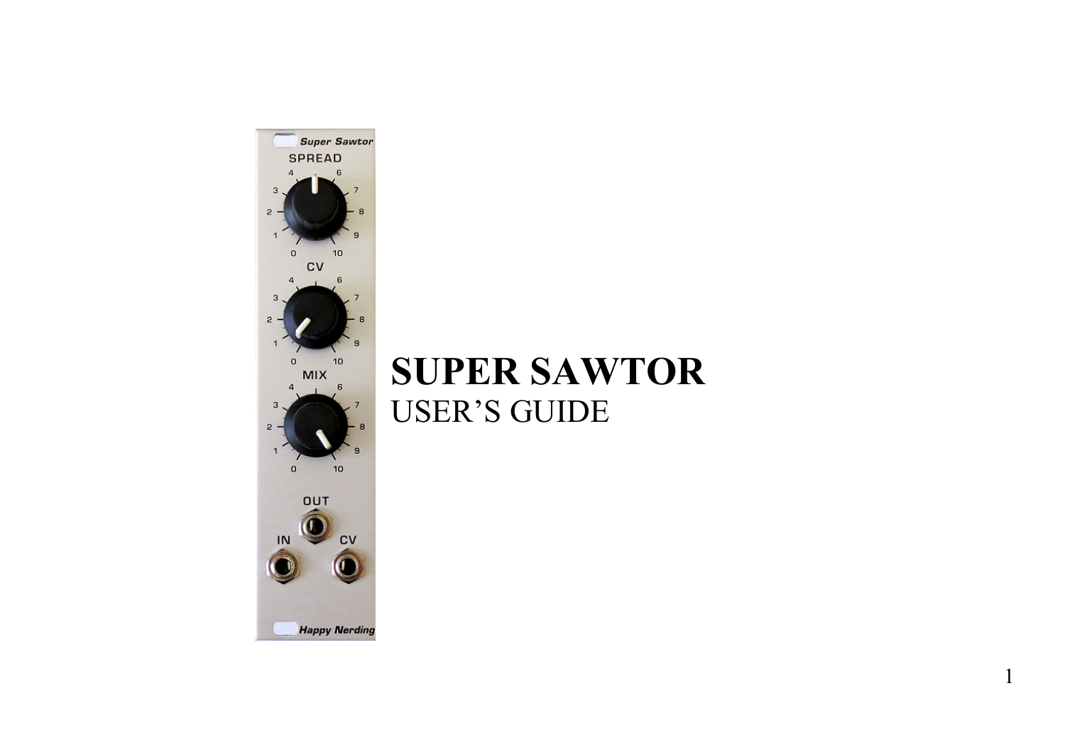

# **SUPER SAWTOR**  USER'S GUIDE

1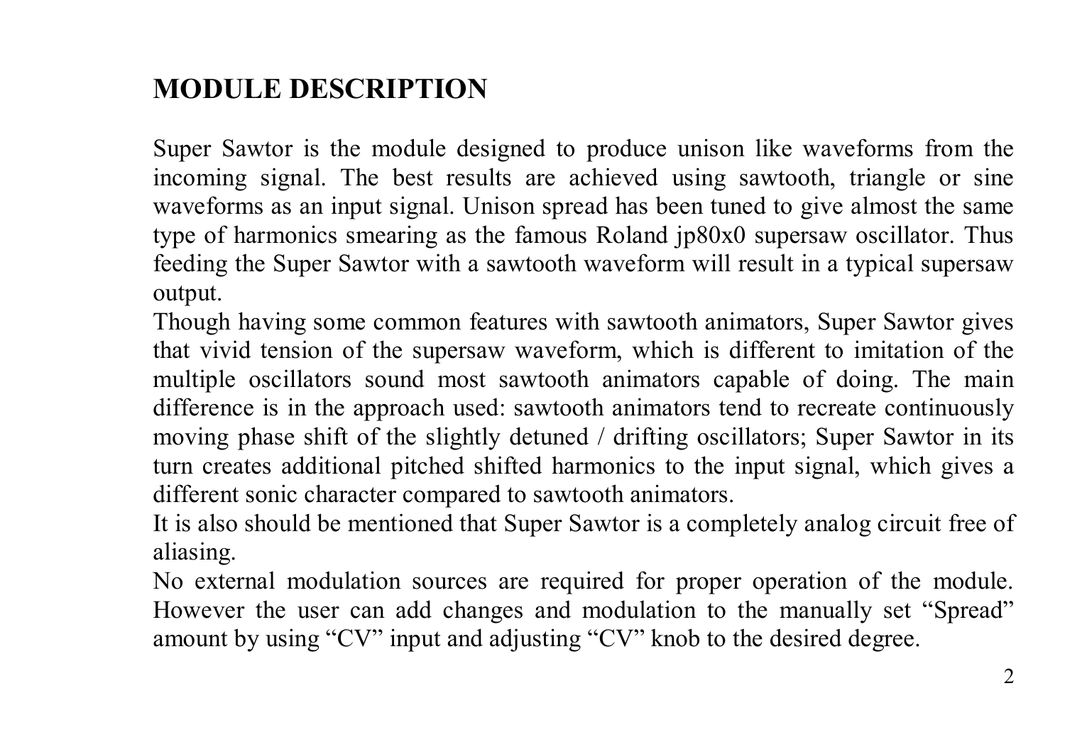### **MODULE DESCRIPTION**

Super Sawtor is the module designed to produce unison like waveforms from the incoming signal. The best results are achieved using sawtooth, triangle or sine waveforms as an input signal. Unison spread has been tuned to give almost the same type of harmonics smearing as the famous Roland jp80x0 supersaw oscillator. Thus feeding the Super Sawtor with a sawtooth waveform will result in a typical supersaw output.

Though having some common features with sawtooth animators, Super Sawtor gives that vivid tension of the supersaw waveform, which is different to imitation of the multiple oscillators sound most sawtooth animators capable of doing. The main difference is in the approach used: sawtooth animators tend to recreate continuously moving phase shift of the slightly detuned / drifting oscillators; Super Sawtor in its turn creates additional pitched shifted harmonics to the input signal, which gives a different sonic character compared to sawtooth animators.

It is also should be mentioned that Super Sawtor is a completely analog circuit free of aliasing.

No external modulation sources are required for proper operation of the module. However the user can add changes and modulation to the manually set "Spread" amount by using "CV" input and adjusting "CV" knob to the desired degree.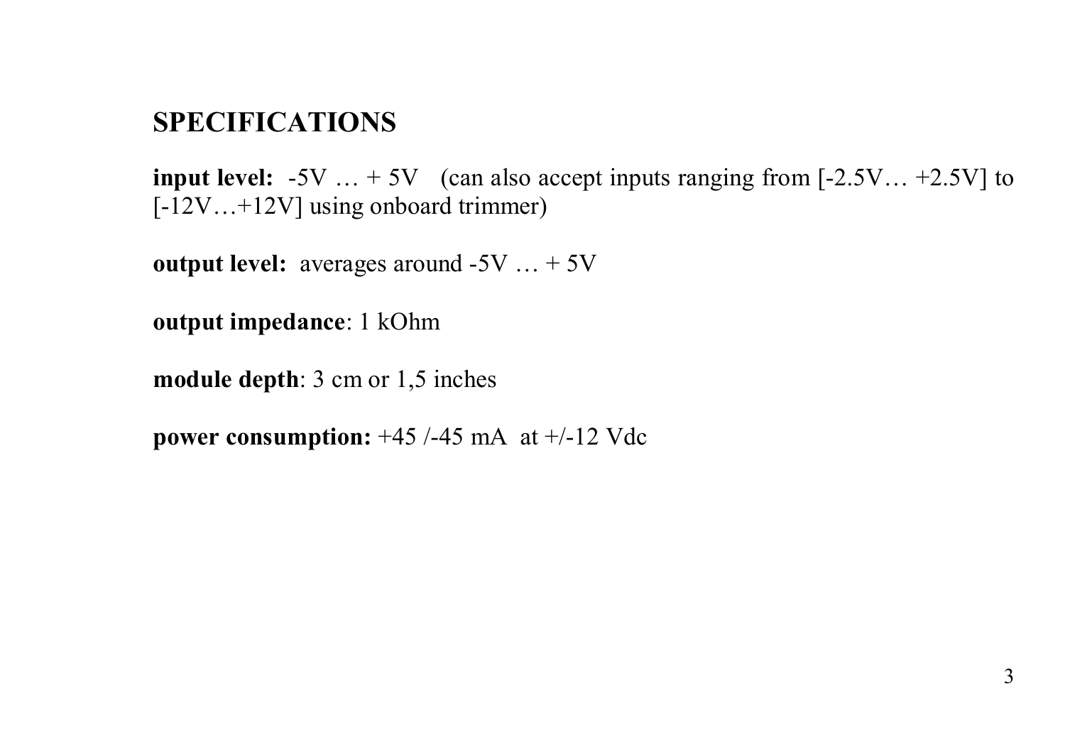#### **SPECIFICATIONS**

**input level:**  $-5V$   $...$   $+5V$  (can also accept inputs ranging from  $[-2.5V]$ ...  $+2.5V$ ] to [-12V…+12V] using onboard trimmer)

**output level:** averages around -5V ... + 5V

**output impedance**: 1 kOhm

**module depth**: 3 cm or 1,5 inches

**power consumption:** +45 /-45 mA at +/-12 Vdc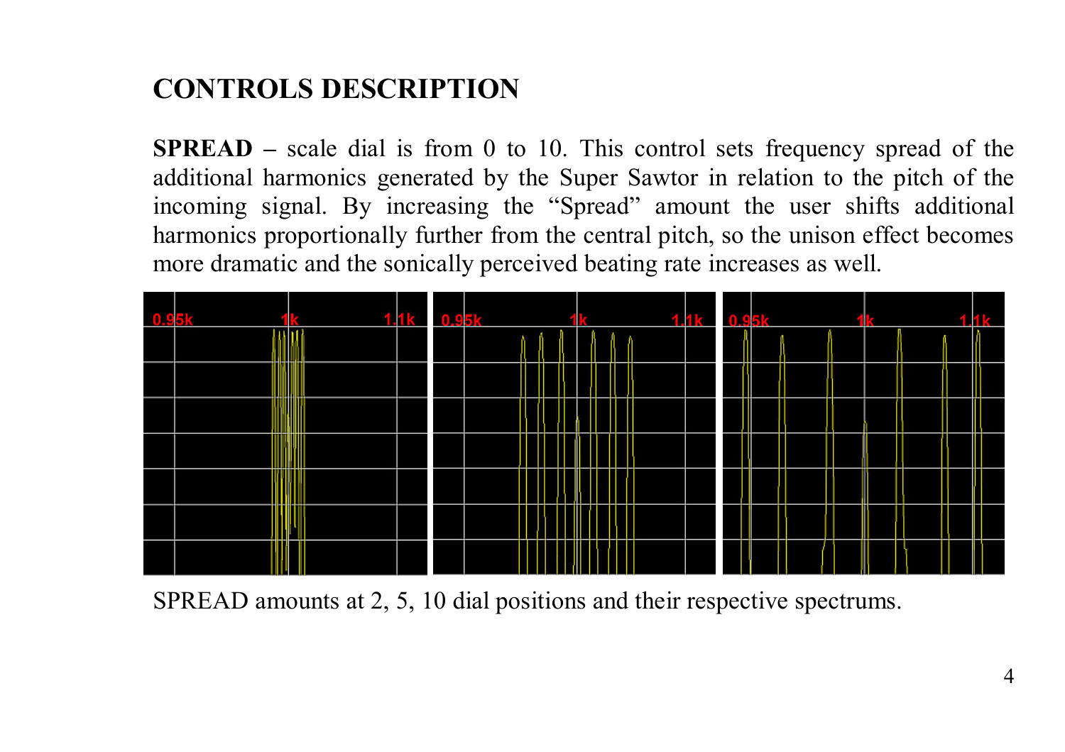# **CONTROLS DESCRIPTION**

**SPREAD –** scale dial is from 0 to 10. This control sets frequency spread of the additional harmonics generated by the Super Sawtor in relation to the pitch of the incoming signal. By increasing the "Spread" amount the user shifts additional harmonics proportionally further from the central pitch, so the unison effect becomes more dramatic and the sonically perceived beating rate increases as well.



SPREAD amounts at 2, 5, 10 dial positions and their respective spectrums.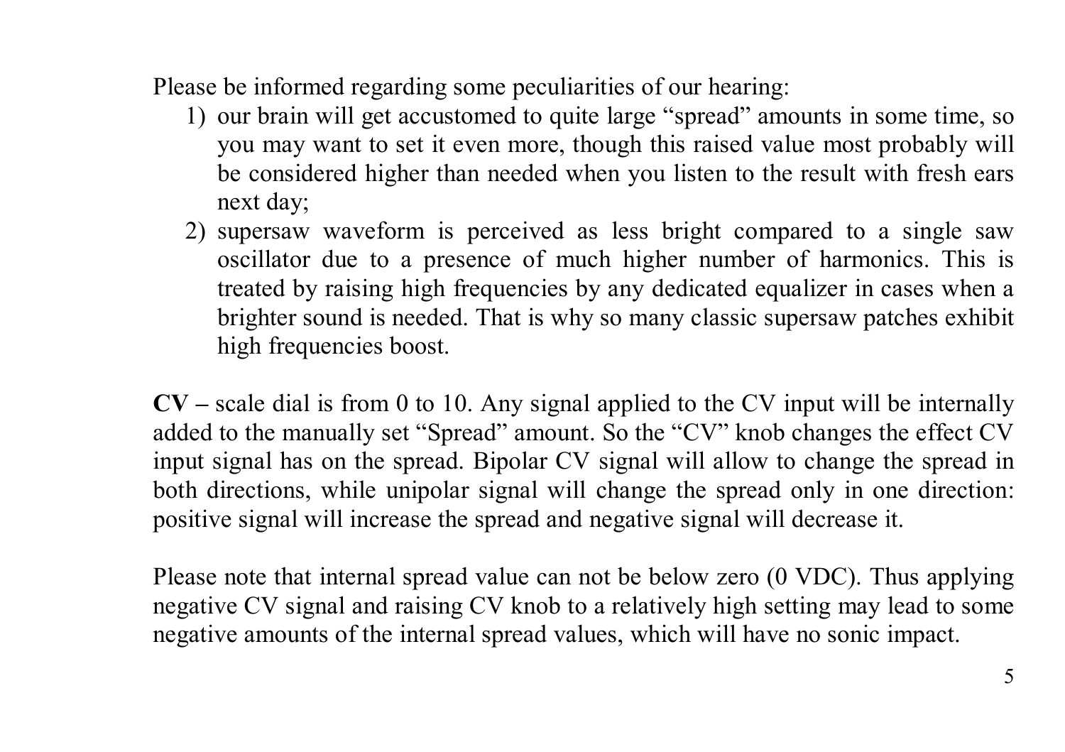Please be informed regarding some peculiarities of our hearing:

- 1) our brain will get accustomed to quite large "spread" amounts in some time, so you may want to set it even more, though this raised value most probably will be considered higher than needed when you listen to the result with fresh ears next day;
- 2) supersaw waveform is perceived as less bright compared to a single saw oscillator due to a presence of much higher number of harmonics. This is treated by raising high frequencies by any dedicated equalizer in cases when a brighter sound is needed. That is why so many classic supersaw patches exhibit high frequencies boost.

**CV –** scale dial is from 0 to 10. Any signal applied to the CV input will be internally added to the manually set "Spread" amount. So the "CV" knob changes the effect CV input signal has on the spread. Bipolar CV signal will allow to change the spread in both directions, while unipolar signal will change the spread only in one direction: positive signal will increase the spread and negative signal will decrease it.

Please note that internal spread value can not be below zero (0 VDC). Thus applying negative CV signal and raising CV knob to a relatively high setting may lead to some negative amounts of the internal spread values, which will have no sonic impact.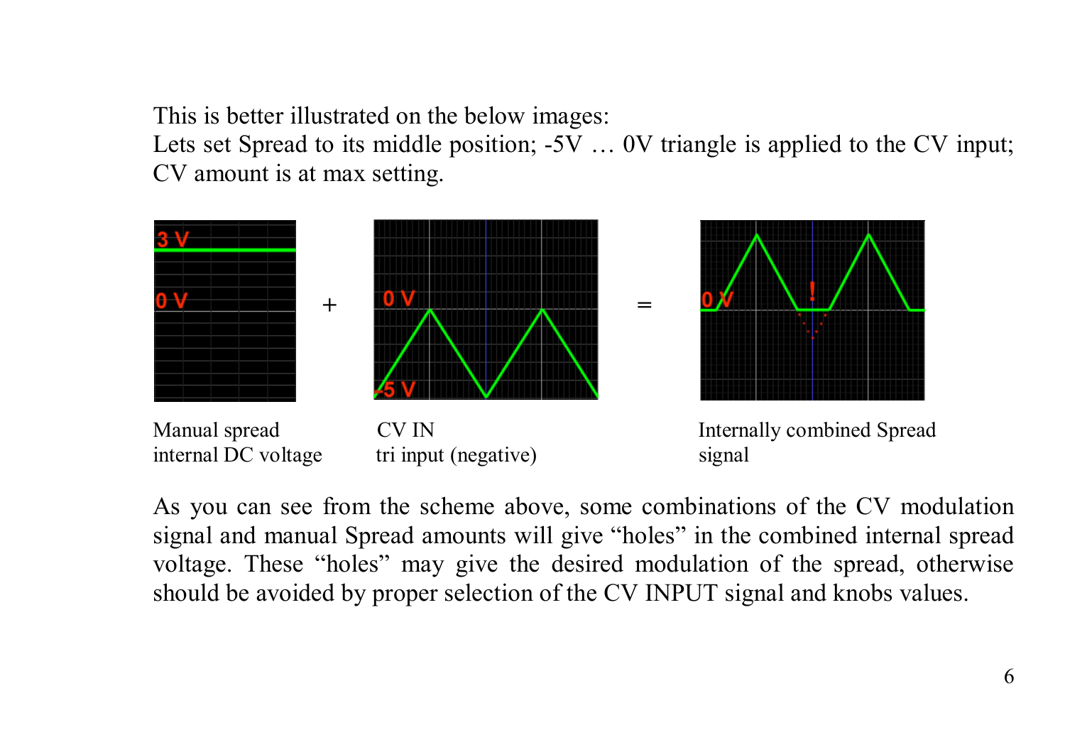This is better illustrated on the below images:

Lets set Spread to its middle position; -5V ... 0V triangle is applied to the CV input; CV amount is at max setting.



As you can see from the scheme above, some combinations of the CV modulation signal and manual Spread amounts will give "holes" in the combined internal spread voltage. These "holes" may give the desired modulation of the spread, otherwise should be avoided by proper selection of the CV INPUT signal and knobs values.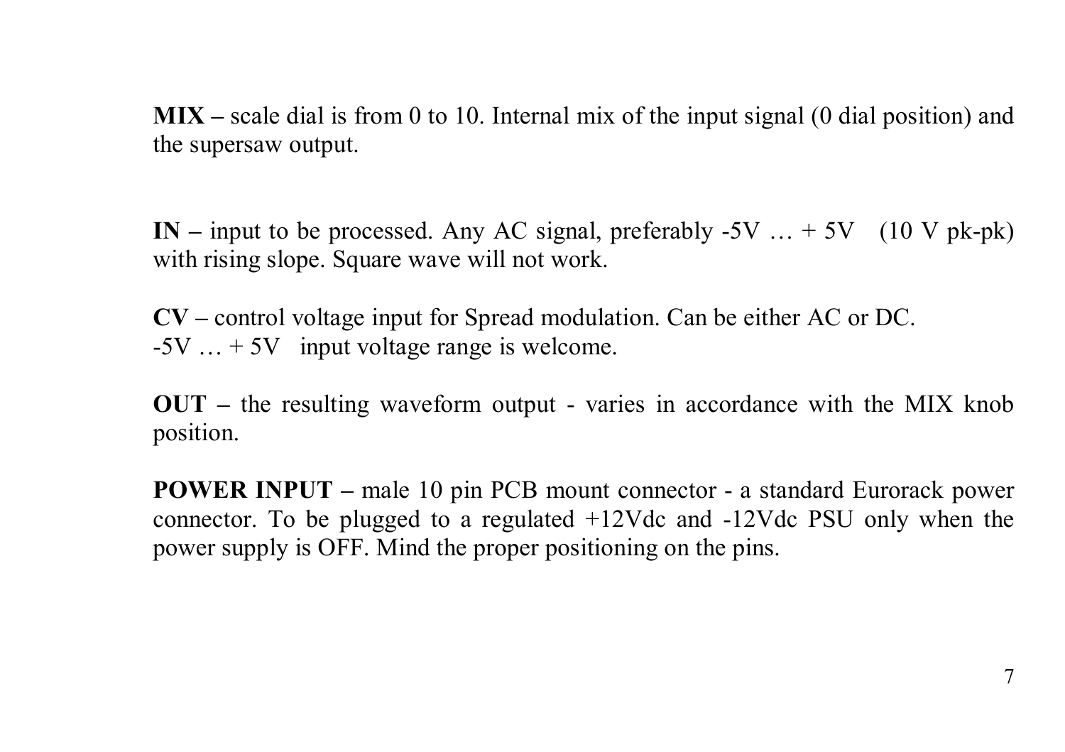**MIX –** scale dial is from 0 to 10. Internal mix of the input signal (0 dial position) and the supersaw output.

**IN –** input to be processed. Any AC signal, preferably -5V … + 5V (10 V pk-pk) with rising slope. Square wave will not work.

**CV –** control voltage input for Spread modulation. Can be either AC or DC.  $-5V$   $\ldots +5V$  input voltage range is welcome.

**OUT –** the resulting waveform output - varies in accordance with the MIX knob position.

**POWER INPUT –** male 10 pin PCB mount connector - a standard Eurorack power connector. To be plugged to a regulated +12Vdc and -12Vdc PSU only when the power supply is OFF. Mind the proper positioning on the pins.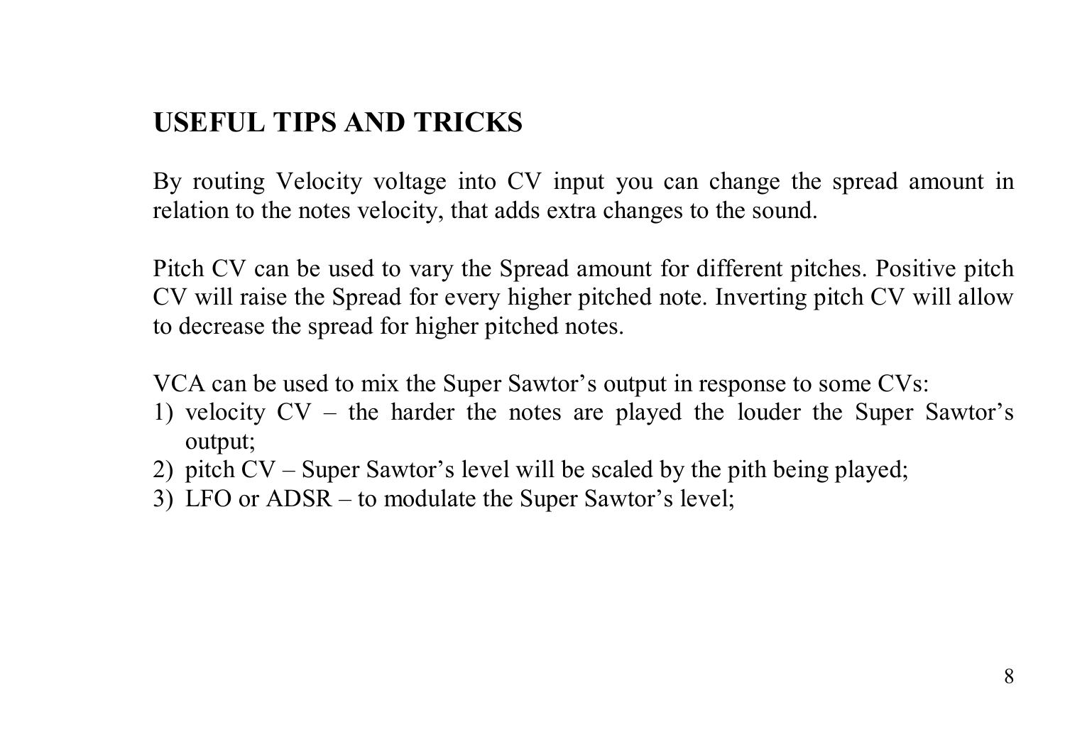#### **USEFUL TIPS AND TRICKS**

By routing Velocity voltage into CV input you can change the spread amount in relation to the notes velocity, that adds extra changes to the sound.

Pitch CV can be used to vary the Spread amount for different pitches. Positive pitch CV will raise the Spread for every higher pitched note. Inverting pitch CV will allow to decrease the spread for higher pitched notes.

VCA can be used to mix the Super Sawtor's output in response to some CVs:

- 1) velocity CV the harder the notes are played the louder the Super Sawtor's output;
- 2) pitch CV Super Sawtor's level will be scaled by the pith being played;
- 3) LFO or ADSR to modulate the Super Sawtor's level;